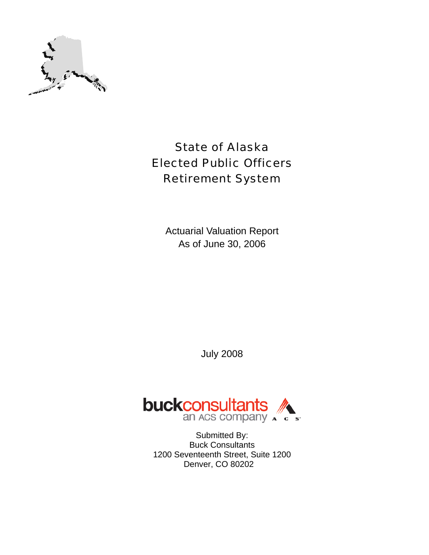

# State of Alaska Elected Public Officers Retirement System

Actuarial Valuation Report As of June 30, 2006

July 2008



Submitted By: Buck Consultants 1200 Seventeenth Street, Suite 1200 Denver, CO 80202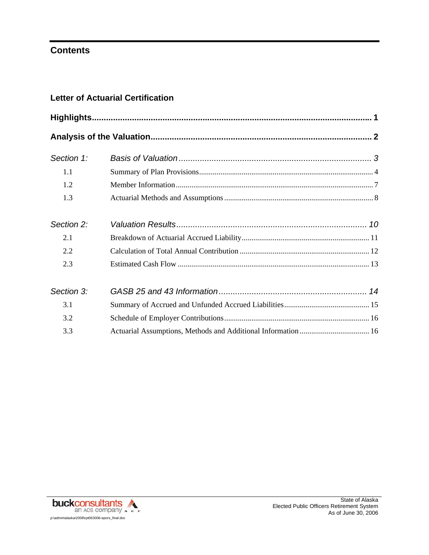# **Contents**

### **Letter of Actuarial Certification**

| Section 1: |  |
|------------|--|
| 1.1        |  |
| 1.2        |  |
| 1.3        |  |
| Section 2: |  |
| 2.1        |  |
| 2.2        |  |
| 2.3        |  |
| Section 3: |  |
| 3.1        |  |
| 3.2        |  |
| 3.3        |  |

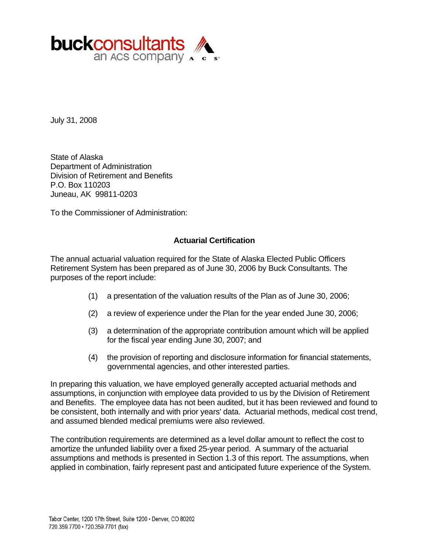

July 31, 2008

State of Alaska Department of Administration Division of Retirement and Benefits P.O. Box 110203 Juneau, AK 99811-0203

To the Commissioner of Administration:

#### **Actuarial Certification**

The annual actuarial valuation required for the State of Alaska Elected Public Officers Retirement System has been prepared as of June 30, 2006 by Buck Consultants. The purposes of the report include:

- (1) a presentation of the valuation results of the Plan as of June 30, 2006;
- (2) a review of experience under the Plan for the year ended June 30, 2006;
- (3) a determination of the appropriate contribution amount which will be applied for the fiscal year ending June 30, 2007; and
- (4) the provision of reporting and disclosure information for financial statements, governmental agencies, and other interested parties.

In preparing this valuation, we have employed generally accepted actuarial methods and assumptions, in conjunction with employee data provided to us by the Division of Retirement and Benefits. The employee data has not been audited, but it has been reviewed and found to be consistent, both internally and with prior years' data. Actuarial methods, medical cost trend, and assumed blended medical premiums were also reviewed.

The contribution requirements are determined as a level dollar amount to reflect the cost to amortize the unfunded liability over a fixed 25-year period. A summary of the actuarial assumptions and methods is presented in Section 1.3 of this report. The assumptions, when applied in combination, fairly represent past and anticipated future experience of the System.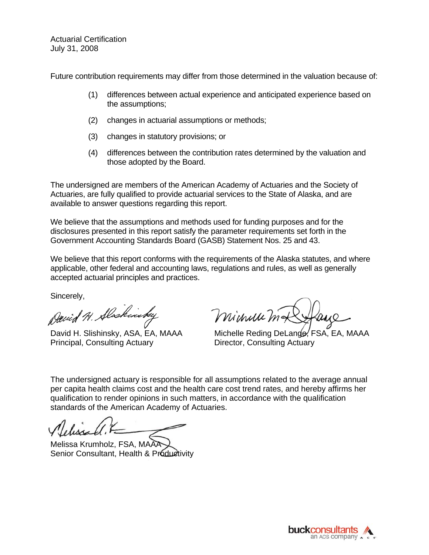Actuarial Certification July 31, 2008

Future contribution requirements may differ from those determined in the valuation because of:

- (1) differences between actual experience and anticipated experience based on the assumptions;
- (2) changes in actuarial assumptions or methods;
- (3) changes in statutory provisions; or
- (4) differences between the contribution rates determined by the valuation and those adopted by the Board.

The undersigned are members of the American Academy of Actuaries and the Society of Actuaries, are fully qualified to provide actuarial services to the State of Alaska, and are available to answer questions regarding this report.

We believe that the assumptions and methods used for funding purposes and for the disclosures presented in this report satisfy the parameter requirements set forth in the Government Accounting Standards Board (GASB) Statement Nos. 25 and 43.

We believe that this report conforms with the requirements of the Alaska statutes, and where applicable, other federal and accounting laws, regulations and rules, as well as generally accepted actuarial principles and practices.

Sincerely,

David H. Alshinske,

Principal, Consulting Actuary **Director, Consulting Actuary** 

minuum

David H. Slishinsky, ASA, EA, MAAA Michelle Reding DeLande, FSA, EA, MAAA

The undersigned actuary is responsible for all assumptions related to the average annual per capita health claims cost and the health care cost trend rates, and hereby affirms her qualification to render opinions in such matters, in accordance with the qualification standards of the American Academy of Actuaries.

Melissa Krumholz, FSA, MAAA Senior Consultant, Health & Productivity

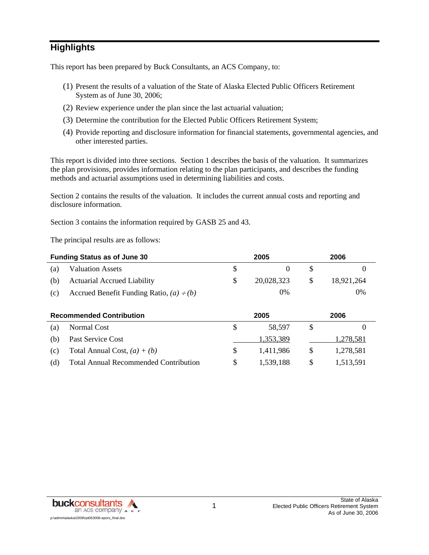# **Highlights**

This report has been prepared by Buck Consultants, an ACS Company, to:

- (1) Present the results of a valuation of the State of Alaska Elected Public Officers Retirement System as of June 30, 2006;
- (2) Review experience under the plan since the last actuarial valuation;
- (3) Determine the contribution for the Elected Public Officers Retirement System;
- (4) Provide reporting and disclosure information for financial statements, governmental agencies, and other interested parties.

This report is divided into three sections. Section 1 describes the basis of the valuation. It summarizes the plan provisions, provides information relating to the plan participants, and describes the funding methods and actuarial assumptions used in determining liabilities and costs.

Section 2 contains the results of the valuation. It includes the current annual costs and reporting and disclosure information.

Section 3 contains the information required by GASB 25 and 43.

The principal results are as follows:

|     | <b>Funding Status as of June 30</b>           |               | 2005        |   | 2006       |  |  |
|-----|-----------------------------------------------|---------------|-------------|---|------------|--|--|
| (a) | <b>Valuation Assets</b>                       | <sup>\$</sup> | $\theta$    | S | $\theta$   |  |  |
| (b) | <b>Actuarial Accrued Liability</b>            | \$.           | 20,028,323  | S | 18,921,264 |  |  |
| (c) | Accrued Benefit Funding Ratio, $(a) \div (b)$ |               | 0%          |   | 0%         |  |  |
|     | <b>Decommended Contribution</b>               |               | <b>2005</b> |   | 2006       |  |  |

| 1,278,581 |
|-----------|
| 1.278.581 |
| 1,513,591 |
|           |

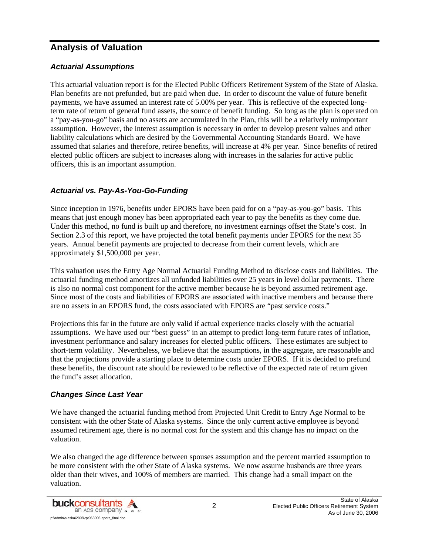# **Analysis of Valuation**

#### *Actuarial Assumptions*

This actuarial valuation report is for the Elected Public Officers Retirement System of the State of Alaska. Plan benefits are not prefunded, but are paid when due. In order to discount the value of future benefit payments, we have assumed an interest rate of 5.00% per year. This is reflective of the expected longterm rate of return of general fund assets, the source of benefit funding. So long as the plan is operated on a "pay-as-you-go" basis and no assets are accumulated in the Plan, this will be a relatively unimportant assumption. However, the interest assumption is necessary in order to develop present values and other liability calculations which are desired by the Governmental Accounting Standards Board. We have assumed that salaries and therefore, retiree benefits, will increase at 4% per year. Since benefits of retired elected public officers are subject to increases along with increases in the salaries for active public officers, this is an important assumption.

#### *Actuarial vs. Pay-As-You-Go-Funding*

Since inception in 1976, benefits under EPORS have been paid for on a "pay-as-you-go" basis. This means that just enough money has been appropriated each year to pay the benefits as they come due. Under this method, no fund is built up and therefore, no investment earnings offset the State's cost. In Section 2.3 of this report, we have projected the total benefit payments under EPORS for the next 35 years. Annual benefit payments are projected to decrease from their current levels, which are approximately \$1,500,000 per year.

This valuation uses the Entry Age Normal Actuarial Funding Method to disclose costs and liabilities. The actuarial funding method amortizes all unfunded liabilities over 25 years in level dollar payments. There is also no normal cost component for the active member because he is beyond assumed retirement age. Since most of the costs and liabilities of EPORS are associated with inactive members and because there are no assets in an EPORS fund, the costs associated with EPORS are "past service costs."

Projections this far in the future are only valid if actual experience tracks closely with the actuarial assumptions. We have used our "best guess" in an attempt to predict long-term future rates of inflation, investment performance and salary increases for elected public officers. These estimates are subject to short-term volatility. Nevertheless, we believe that the assumptions, in the aggregate, are reasonable and that the projections provide a starting place to determine costs under EPORS. If it is decided to prefund these benefits, the discount rate should be reviewed to be reflective of the expected rate of return given the fund's asset allocation.

#### *Changes Since Last Year*

We have changed the actuarial funding method from Projected Unit Credit to Entry Age Normal to be consistent with the other State of Alaska systems. Since the only current active employee is beyond assumed retirement age, there is no normal cost for the system and this change has no impact on the valuation.

We also changed the age difference between spouses assumption and the percent married assumption to be more consistent with the other State of Alaska systems. We now assume husbands are three years older than their wives, and 100% of members are married. This change had a small impact on the valuation.

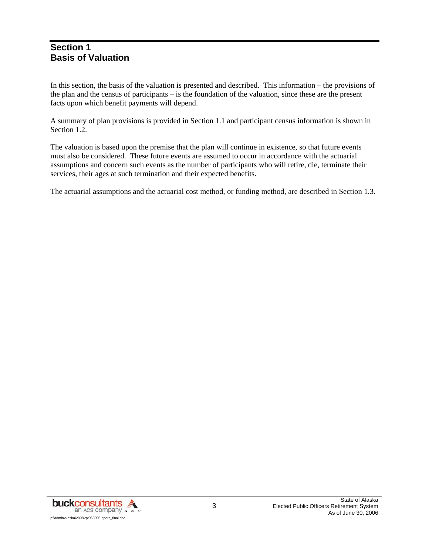### **Section 1 Basis of Valuation**

In this section, the basis of the valuation is presented and described. This information – the provisions of the plan and the census of participants – is the foundation of the valuation, since these are the present facts upon which benefit payments will depend.

A summary of plan provisions is provided in Section 1.1 and participant census information is shown in Section 1.2.

The valuation is based upon the premise that the plan will continue in existence, so that future events must also be considered. These future events are assumed to occur in accordance with the actuarial assumptions and concern such events as the number of participants who will retire, die, terminate their services, their ages at such termination and their expected benefits.

The actuarial assumptions and the actuarial cost method, or funding method, are described in Section 1.3.

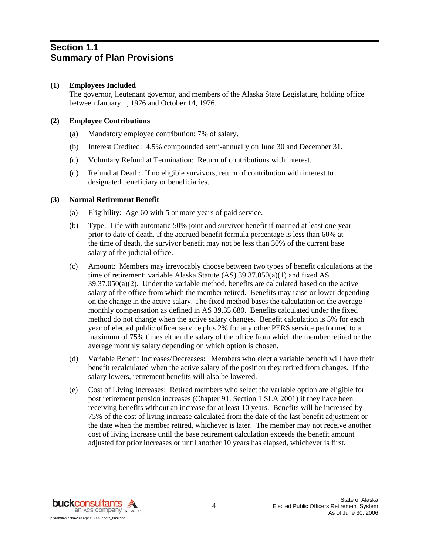### **Section 1.1 Summary of Plan Provisions**

#### **(1) Employees Included**

 The governor, lieutenant governor, and members of the Alaska State Legislature, holding office between January 1, 1976 and October 14, 1976.

#### **(2) Employee Contributions**

- (a) Mandatory employee contribution: 7% of salary.
- (b) Interest Credited: 4.5% compounded semi-annually on June 30 and December 31.
- (c) Voluntary Refund at Termination: Return of contributions with interest.
- (d) Refund at Death: If no eligible survivors, return of contribution with interest to designated beneficiary or beneficiaries.

#### **(3) Normal Retirement Benefit**

- (a) Eligibility: Age 60 with 5 or more years of paid service.
- (b) Type: Life with automatic 50% joint and survivor benefit if married at least one year prior to date of death. If the accrued benefit formula percentage is less than 60% at the time of death, the survivor benefit may not be less than 30% of the current base salary of the judicial office.
- (c) Amount: Members may irrevocably choose between two types of benefit calculations at the time of retirement: variable Alaska Statute (AS) 39.37.050(a)(1) and fixed AS 39.37.050(a)(2). Under the variable method, benefits are calculated based on the active salary of the office from which the member retired. Benefits may raise or lower depending on the change in the active salary. The fixed method bases the calculation on the average monthly compensation as defined in AS 39.35.680. Benefits calculated under the fixed method do not change when the active salary changes. Benefit calculation is 5% for each year of elected public officer service plus 2% for any other PERS service performed to a maximum of 75% times either the salary of the office from which the member retired or the average monthly salary depending on which option is chosen.
- (d) Variable Benefit Increases/Decreases: Members who elect a variable benefit will have their benefit recalculated when the active salary of the position they retired from changes. If the salary lowers, retirement benefits will also be lowered.
- (e) Cost of Living Increases: Retired members who select the variable option are eligible for post retirement pension increases (Chapter 91, Section 1 SLA 2001) if they have been receiving benefits without an increase for at least 10 years. Benefits will be increased by 75% of the cost of living increase calculated from the date of the last benefit adjustment or the date when the member retired, whichever is later. The member may not receive another cost of living increase until the base retirement calculation exceeds the benefit amount adjusted for prior increases or until another 10 years has elapsed, whichever is first.

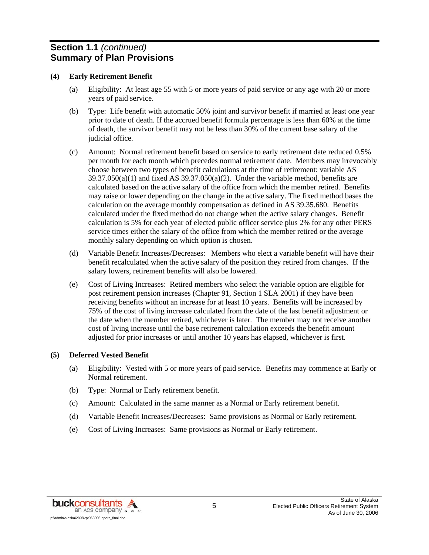### **Section 1.1** *(continued)* **Summary of Plan Provisions**

#### **(4) Early Retirement Benefit**

- (a) Eligibility: At least age 55 with 5 or more years of paid service or any age with 20 or more years of paid service.
- (b) Type: Life benefit with automatic 50% joint and survivor benefit if married at least one year prior to date of death. If the accrued benefit formula percentage is less than 60% at the time of death, the survivor benefit may not be less than 30% of the current base salary of the judicial office.
- (c) Amount: Normal retirement benefit based on service to early retirement date reduced 0.5% per month for each month which precedes normal retirement date. Members may irrevocably choose between two types of benefit calculations at the time of retirement: variable AS  $39.37.050(a)(1)$  and fixed AS  $39.37.050(a)(2)$ . Under the variable method, benefits are calculated based on the active salary of the office from which the member retired. Benefits may raise or lower depending on the change in the active salary. The fixed method bases the calculation on the average monthly compensation as defined in AS 39.35.680. Benefits calculated under the fixed method do not change when the active salary changes. Benefit calculation is 5% for each year of elected public officer service plus 2% for any other PERS service times either the salary of the office from which the member retired or the average monthly salary depending on which option is chosen.
- (d) Variable Benefit Increases/Decreases: Members who elect a variable benefit will have their benefit recalculated when the active salary of the position they retired from changes. If the salary lowers, retirement benefits will also be lowered.
- (e) Cost of Living Increases: Retired members who select the variable option are eligible for post retirement pension increases (Chapter 91, Section 1 SLA 2001) if they have been receiving benefits without an increase for at least 10 years. Benefits will be increased by 75% of the cost of living increase calculated from the date of the last benefit adjustment or the date when the member retired, whichever is later. The member may not receive another cost of living increase until the base retirement calculation exceeds the benefit amount adjusted for prior increases or until another 10 years has elapsed, whichever is first.

#### **(5) Deferred Vested Benefit**

- (a) Eligibility: Vested with 5 or more years of paid service. Benefits may commence at Early or Normal retirement.
- (b) Type: Normal or Early retirement benefit.
- (c) Amount: Calculated in the same manner as a Normal or Early retirement benefit.
- (d) Variable Benefit Increases/Decreases: Same provisions as Normal or Early retirement.
- (e) Cost of Living Increases: Same provisions as Normal or Early retirement.

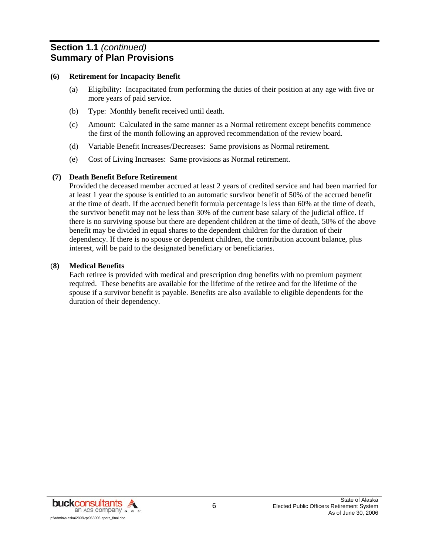### **Section 1.1** *(continued)* **Summary of Plan Provisions**

#### **(6) Retirement for Incapacity Benefit**

- (a) Eligibility: Incapacitated from performing the duties of their position at any age with five or more years of paid service.
- (b) Type: Monthly benefit received until death.
- (c) Amount: Calculated in the same manner as a Normal retirement except benefits commence the first of the month following an approved recommendation of the review board.
- (d) Variable Benefit Increases/Decreases: Same provisions as Normal retirement.
- (e) Cost of Living Increases: Same provisions as Normal retirement.

#### **(7) Death Benefit Before Retirement**

 Provided the deceased member accrued at least 2 years of credited service and had been married for at least 1 year the spouse is entitled to an automatic survivor benefit of 50% of the accrued benefit at the time of death. If the accrued benefit formula percentage is less than 60% at the time of death, the survivor benefit may not be less than 30% of the current base salary of the judicial office. If there is no surviving spouse but there are dependent children at the time of death, 50% of the above benefit may be divided in equal shares to the dependent children for the duration of their dependency. If there is no spouse or dependent children, the contribution account balance, plus interest, will be paid to the designated beneficiary or beneficiaries.

#### (**8) Medical Benefits**

 Each retiree is provided with medical and prescription drug benefits with no premium payment required. These benefits are available for the lifetime of the retiree and for the lifetime of the spouse if a survivor benefit is payable. Benefits are also available to eligible dependents for the duration of their dependency.

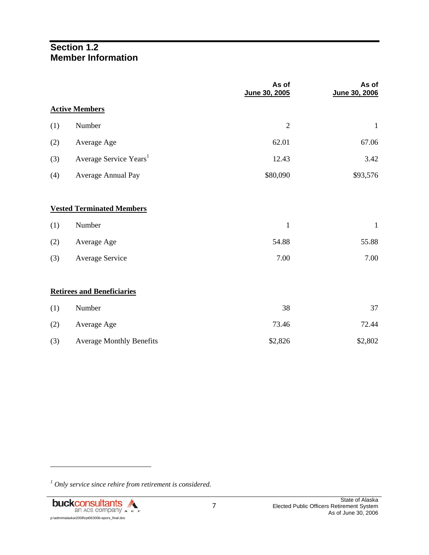### **Section 1.2 Member Information**

|     |                                    | As of<br>June 30, 2005 | As of<br>June 30, 2006 |
|-----|------------------------------------|------------------------|------------------------|
|     | <b>Active Members</b>              |                        |                        |
| (1) | Number                             | $\overline{2}$         | $\mathbf{1}$           |
| (2) | Average Age                        | 62.01                  | 67.06                  |
| (3) | Average Service Years <sup>1</sup> | 12.43                  | 3.42                   |
| (4) | Average Annual Pay                 | \$80,090               | \$93,576               |
|     |                                    |                        |                        |
|     | <b>Vested Terminated Members</b>   |                        |                        |
| (1) | Number                             | $\mathbf{1}$           | $\mathbf{1}$           |
| (2) | Average Age                        | 54.88                  | 55.88                  |
| (3) | Average Service                    | 7.00                   | 7.00                   |
|     |                                    |                        |                        |
|     | <b>Retirees and Beneficiaries</b>  |                        |                        |
| (1) | Number                             | 38                     | 37                     |
| (2) | Average Age                        | 73.46                  | 72.44                  |
| (3) | <b>Average Monthly Benefits</b>    | \$2,826                | \$2,802                |

*<sup>1</sup> Only service since rehire from retirement is considered.* 



l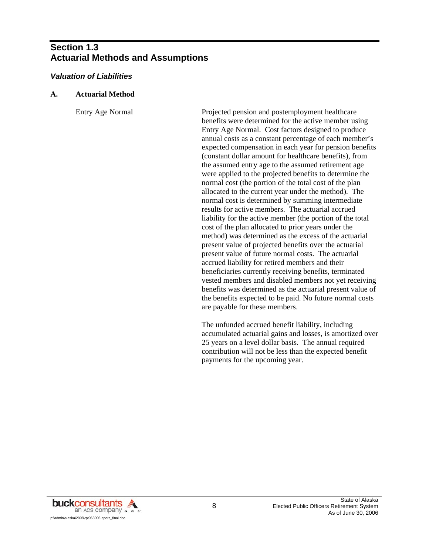### **Section 1.3 Actuarial Methods and Assumptions**

#### *Valuation of Liabilities*

#### **A. Actuarial Method**

 Entry Age Normal Projected pension and postemployment healthcare benefits were determined for the active member using Entry Age Normal. Cost factors designed to produce annual costs as a constant percentage of each member's expected compensation in each year for pension benefits (constant dollar amount for healthcare benefits), from the assumed entry age to the assumed retirement age were applied to the projected benefits to determine the normal cost (the portion of the total cost of the plan allocated to the current year under the method). The normal cost is determined by summing intermediate results for active members. The actuarial accrued liability for the active member (the portion of the total cost of the plan allocated to prior years under the method) was determined as the excess of the actuarial present value of projected benefits over the actuarial present value of future normal costs. The actuarial accrued liability for retired members and their beneficiaries currently receiving benefits, terminated vested members and disabled members not yet receiving benefits was determined as the actuarial present value of the benefits expected to be paid. No future normal costs are payable for these members.

> The unfunded accrued benefit liability, including accumulated actuarial gains and losses, is amortized over 25 years on a level dollar basis. The annual required contribution will not be less than the expected benefit payments for the upcoming year.

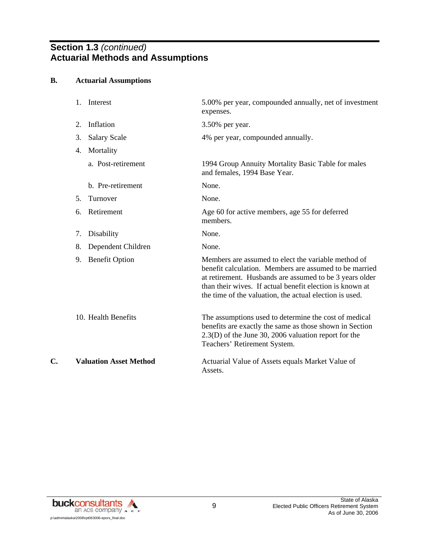### **Section 1.3** *(continued)*  **Actuarial Methods and Assumptions**

#### **B. Actuarial Assumptions**

|    | Interest<br>1.                | 5.00% per year, compounded annually, net of investment<br>expenses.                                                                                                                                                                                                                             |
|----|-------------------------------|-------------------------------------------------------------------------------------------------------------------------------------------------------------------------------------------------------------------------------------------------------------------------------------------------|
|    | Inflation<br>2.               | 3.50% per year.                                                                                                                                                                                                                                                                                 |
|    | 3.<br><b>Salary Scale</b>     | 4% per year, compounded annually.                                                                                                                                                                                                                                                               |
|    | Mortality<br>4.               |                                                                                                                                                                                                                                                                                                 |
|    | a. Post-retirement            | 1994 Group Annuity Mortality Basic Table for males<br>and females, 1994 Base Year.                                                                                                                                                                                                              |
|    | b. Pre-retirement             | None.                                                                                                                                                                                                                                                                                           |
|    | Turnover<br>5.                | None.                                                                                                                                                                                                                                                                                           |
|    | Retirement<br>6.              | Age 60 for active members, age 55 for deferred<br>members.                                                                                                                                                                                                                                      |
|    | 7.<br>Disability              | None.                                                                                                                                                                                                                                                                                           |
|    | Dependent Children<br>8.      | None.                                                                                                                                                                                                                                                                                           |
|    | <b>Benefit Option</b><br>9.   | Members are assumed to elect the variable method of<br>benefit calculation. Members are assumed to be married<br>at retirement. Husbands are assumed to be 3 years older<br>than their wives. If actual benefit election is known at<br>the time of the valuation, the actual election is used. |
|    | 10. Health Benefits           | The assumptions used to determine the cost of medical<br>benefits are exactly the same as those shown in Section<br>$2.3(D)$ of the June 30, 2006 valuation report for the<br>Teachers' Retirement System.                                                                                      |
| C. | <b>Valuation Asset Method</b> | Actuarial Value of Assets equals Market Value of<br>Assets.                                                                                                                                                                                                                                     |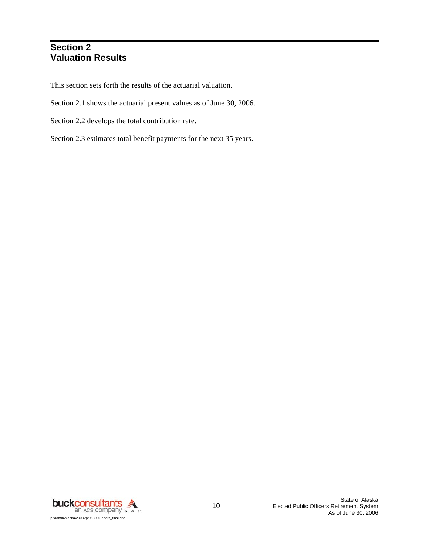### **Section 2 Valuation Results**

This section sets forth the results of the actuarial valuation.

- Section 2.1 shows the actuarial present values as of June 30, 2006.
- Section 2.2 develops the total contribution rate.
- Section 2.3 estimates total benefit payments for the next 35 years.

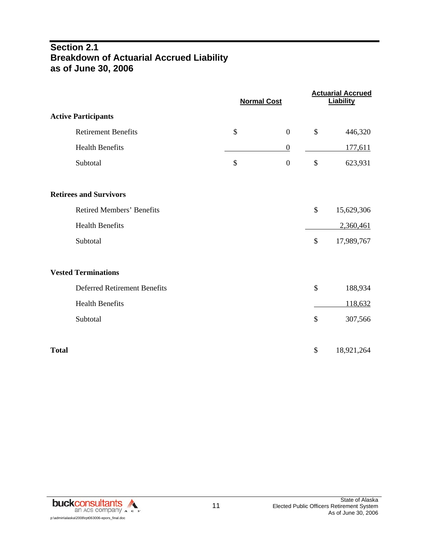### **Section 2.1 Breakdown of Actuarial Accrued Liability as of June 30, 2006**

|                                     | <b>Normal Cost</b>     |                           | <b>Actuarial Accrued</b><br><b>Liability</b> |
|-------------------------------------|------------------------|---------------------------|----------------------------------------------|
| <b>Active Participants</b>          |                        |                           |                                              |
| <b>Retirement Benefits</b>          | \$<br>$\boldsymbol{0}$ | \$                        | 446,320                                      |
| <b>Health Benefits</b>              | $\boldsymbol{0}$       |                           | 177,611                                      |
| Subtotal                            | \$<br>$\boldsymbol{0}$ | $\boldsymbol{\mathsf{S}}$ | 623,931                                      |
| <b>Retirees and Survivors</b>       |                        |                           |                                              |
| <b>Retired Members' Benefits</b>    |                        | \$                        | 15,629,306                                   |
| <b>Health Benefits</b>              |                        |                           | 2,360,461                                    |
| Subtotal                            |                        | \$                        | 17,989,767                                   |
| <b>Vested Terminations</b>          |                        |                           |                                              |
| <b>Deferred Retirement Benefits</b> |                        | \$                        | 188,934                                      |
| <b>Health Benefits</b>              |                        |                           | 118,632                                      |
| Subtotal                            |                        | \$                        | 307,566                                      |
| <b>Total</b>                        |                        | \$                        | 18,921,264                                   |

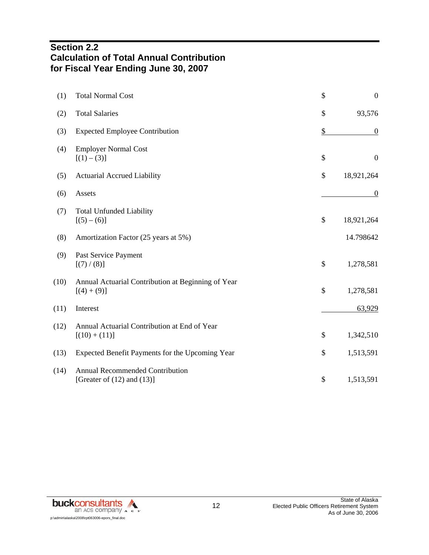### **Section 2.2 Calculation of Total Annual Contribution for Fiscal Year Ending June 30, 2007**

| (1)  | <b>Total Normal Cost</b>                                            | \$            | $\boldsymbol{0}$ |
|------|---------------------------------------------------------------------|---------------|------------------|
| (2)  | <b>Total Salaries</b>                                               | $\mathcal{S}$ | 93,576           |
| (3)  | <b>Expected Employee Contribution</b>                               | \$            | $\boldsymbol{0}$ |
| (4)  | <b>Employer Normal Cost</b><br>$[(1) - (3)]$                        | \$            | $\boldsymbol{0}$ |
| (5)  | <b>Actuarial Accrued Liability</b>                                  | \$            | 18,921,264       |
| (6)  | Assets                                                              |               | $\boldsymbol{0}$ |
| (7)  | <b>Total Unfunded Liability</b><br>$[(5)-(6)]$                      | \$            | 18,921,264       |
| (8)  | Amortization Factor (25 years at 5%)                                |               | 14.798642        |
| (9)  | Past Service Payment<br>[(7)/(8)]                                   | \$            | 1,278,581        |
| (10) | Annual Actuarial Contribution at Beginning of Year<br>$[(4) + (9)]$ | \$            | 1,278,581        |
| (11) | Interest                                                            |               | 63,929           |
| (12) | Annual Actuarial Contribution at End of Year<br>$[(10) + (11)]$     | \$            | 1,342,510        |
| (13) | Expected Benefit Payments for the Upcoming Year                     | \$            | 1,513,591        |
| (14) | Annual Recommended Contribution<br>[Greater of $(12)$ and $(13)$ ]  | \$            | 1,513,591        |

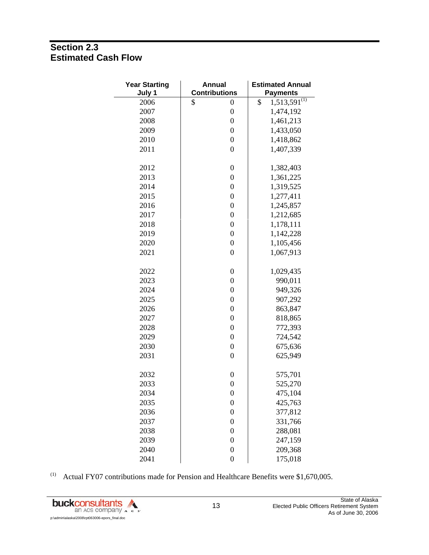## **Section 2.3 Estimated Cash Flow**

| <b>Year Starting</b><br>July 1 | <b>Annual</b><br><b>Contributions</b> | <b>Estimated Annual</b><br><b>Payments</b> |
|--------------------------------|---------------------------------------|--------------------------------------------|
| 2006                           | \$<br>0                               | $1,513,591^{(1)}$<br>\$                    |
| 2007                           | $\boldsymbol{0}$                      | 1,474,192                                  |
| 2008                           | $\boldsymbol{0}$                      | 1,461,213                                  |
| 2009                           | $\boldsymbol{0}$                      | 1,433,050                                  |
| 2010                           | $\boldsymbol{0}$                      | 1,418,862                                  |
| 2011                           | $\overline{0}$                        | 1,407,339                                  |
| 2012                           | $\boldsymbol{0}$                      | 1,382,403                                  |
| 2013                           | $\boldsymbol{0}$                      | 1,361,225                                  |
| 2014                           | $\boldsymbol{0}$                      | 1,319,525                                  |
| 2015                           | $\boldsymbol{0}$                      | 1,277,411                                  |
| 2016                           | $\boldsymbol{0}$                      | 1,245,857                                  |
| 2017                           | $\boldsymbol{0}$                      | 1,212,685                                  |
| 2018                           | $\boldsymbol{0}$                      | 1,178,111                                  |
| 2019                           | $\boldsymbol{0}$                      | 1,142,228                                  |
| 2020                           | $\boldsymbol{0}$                      | 1,105,456                                  |
| 2021                           | $\boldsymbol{0}$                      | 1,067,913                                  |
| 2022                           | $\boldsymbol{0}$                      | 1,029,435                                  |
| 2023                           | $\boldsymbol{0}$                      | 990,011                                    |
| 2024                           | $\boldsymbol{0}$                      | 949,326                                    |
| 2025                           | $\boldsymbol{0}$                      | 907,292                                    |
| 2026                           | $\boldsymbol{0}$                      | 863,847                                    |
| 2027                           | $\boldsymbol{0}$                      | 818,865                                    |
| 2028                           | $\boldsymbol{0}$                      | 772,393                                    |
| 2029                           | $\boldsymbol{0}$                      | 724,542                                    |
| 2030                           | $\boldsymbol{0}$                      | 675,636                                    |
| 2031                           | $\boldsymbol{0}$                      | 625,949                                    |
| 2032                           | $\boldsymbol{0}$                      | 575,701                                    |
| 2033                           | $\boldsymbol{0}$                      | 525,270                                    |
| 2034                           | $\boldsymbol{0}$                      | 475,104                                    |
| 2035                           | $\boldsymbol{0}$                      | 425,763                                    |
| 2036                           | $\boldsymbol{0}$                      | 377,812                                    |
| 2037                           | $\boldsymbol{0}$                      | 331,766                                    |
| 2038                           | $\boldsymbol{0}$                      | 288,081                                    |
| 2039                           | $\boldsymbol{0}$                      | 247,159                                    |
| 2040                           | $\boldsymbol{0}$                      | 209,368                                    |
| 2041                           | $\overline{0}$                        | 175,018                                    |

(1) Actual FY07 contributions made for Pension and Healthcare Benefits were  $$1,670,005$ .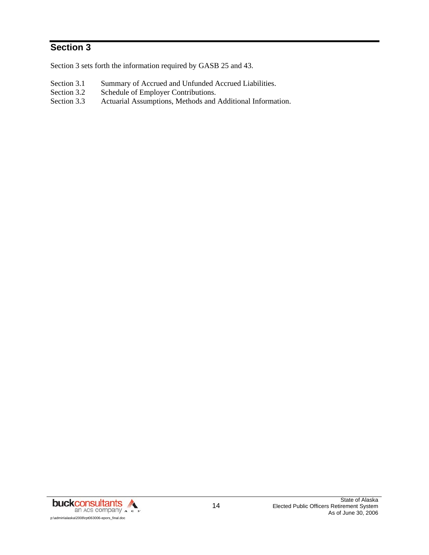# **Section 3**

Section 3 sets forth the information required by GASB 25 and 43.

- Section 3.1 Summary of Accrued and Unfunded Accrued Liabilities.<br>Section 3.2 Schedule of Employer Contributions.
- Schedule of Employer Contributions.
- Section 3.3 Actuarial Assumptions, Methods and Additional Information.

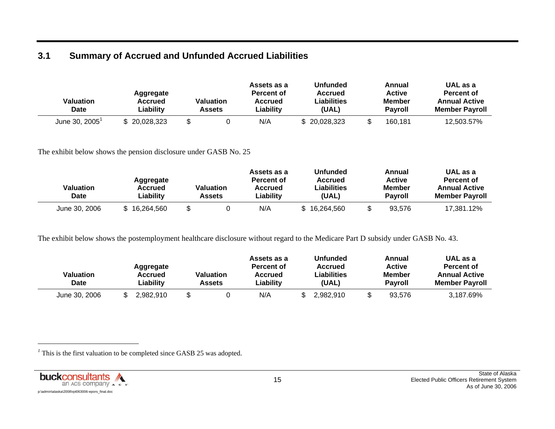# **3.1 Summary of Accrued and Unfunded Accrued Liabilities**

| Valuation<br>Date | Aggregate<br>Accrued<br>∟iability | Valuation<br>Assets | Assets as a<br>Percent of<br><b>Accrued</b><br>∟iabilitv | Unfunded<br><b>Accrued</b><br>Liabilities<br>(UAL) | Annual<br><b>Active</b><br><b>Member</b><br><b>Pavroll</b> | UAL as a<br><b>Percent of</b><br><b>Annual Active</b><br><b>Member Pavroll</b> |
|-------------------|-----------------------------------|---------------------|----------------------------------------------------------|----------------------------------------------------|------------------------------------------------------------|--------------------------------------------------------------------------------|
| June 30, 2005     | $\degree$ 20,028,323              |                     | N/A                                                      | 20,028,323                                         | 160,181                                                    | 12,503.57%                                                                     |

The exhibit below shows the pension disclosure under GASB No. 25

| Valuation<br><b>Date</b> | Aggregate<br>Accrued<br>∟iability | <b>Valuation</b><br>Assets | Assets as a<br>Percent of<br><b>Accrued</b><br>Liability | <b>Unfunded</b><br>Accrued<br>∟iabilities<br>(UAL) | Annual<br><b>Active</b><br>Member<br>Pavroll | UAL as a<br>Percent of<br><b>Annual Active</b><br><b>Member Pavroll</b> |
|--------------------------|-----------------------------------|----------------------------|----------------------------------------------------------|----------------------------------------------------|----------------------------------------------|-------------------------------------------------------------------------|
| June 30, 2006            | 16.264.560                        |                            | N/A                                                      | \$16,264,560                                       | 93.576                                       | 17.381.12%                                                              |

The exhibit below shows the postemployment healthcare disclosure without regard to the Medicare Part D subsidy under GASB No. 43.

| Valuation<br><b>Date</b> | Aggregate<br>Accrued<br>Liability | Valuation<br>Assets | Assets as a<br>Percent of<br>Accrued<br>Liability | Unfunded<br>Accrued<br>Liabilities<br>(UAL) | Annual<br><b>Active</b><br>Member<br><b>Pavroll</b> | UAL as a<br>Percent of<br><b>Annual Active</b><br><b>Member Pavroll</b> |
|--------------------------|-----------------------------------|---------------------|---------------------------------------------------|---------------------------------------------|-----------------------------------------------------|-------------------------------------------------------------------------|
| June 30, 2006            | 2.982.910                         |                     | N/A                                               | 2,982,910                                   | 93.576                                              | 3,187.69%                                                               |

<sup>1</sup> This is the first valuation to be completed since GASB 25 was adopted.